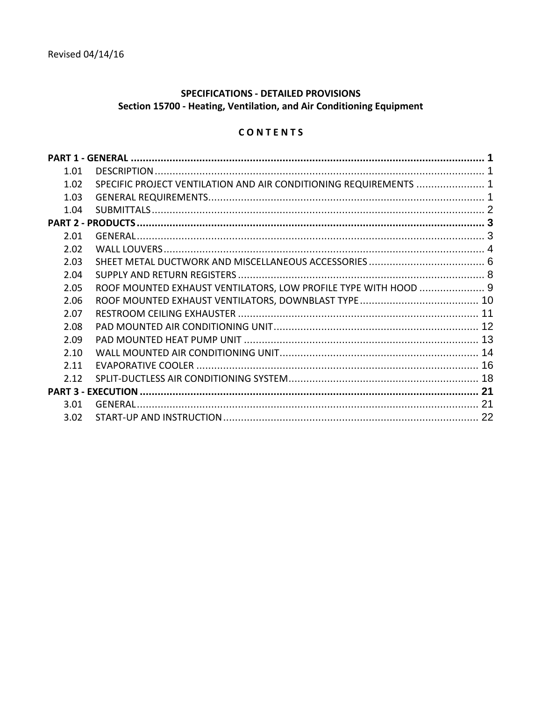# SPECIFICATIONS - DETAILED PROVISIONS Section 15700 - Heating, Ventilation, and Air Conditioning Equipment

# CONTENTS

| 1.01  |                                                                   |  |
|-------|-------------------------------------------------------------------|--|
| 1.02  | SPECIFIC PROJECT VENTILATION AND AIR CONDITIONING REQUIREMENTS  1 |  |
| 1.03  |                                                                   |  |
| 1.04  |                                                                   |  |
|       |                                                                   |  |
| 2.01  |                                                                   |  |
| 2.02  |                                                                   |  |
| 2.03  |                                                                   |  |
| 2.04  |                                                                   |  |
| 2.05  | ROOF MOUNTED EXHAUST VENTILATORS, LOW PROFILE TYPE WITH HOOD  9   |  |
| 2.06  |                                                                   |  |
| 2.07  |                                                                   |  |
| 2.08  |                                                                   |  |
| 2.09  |                                                                   |  |
| 2.10  |                                                                   |  |
| 2.11  |                                                                   |  |
| 2 1 2 |                                                                   |  |
|       |                                                                   |  |
| 3.01  |                                                                   |  |
| 3.02  |                                                                   |  |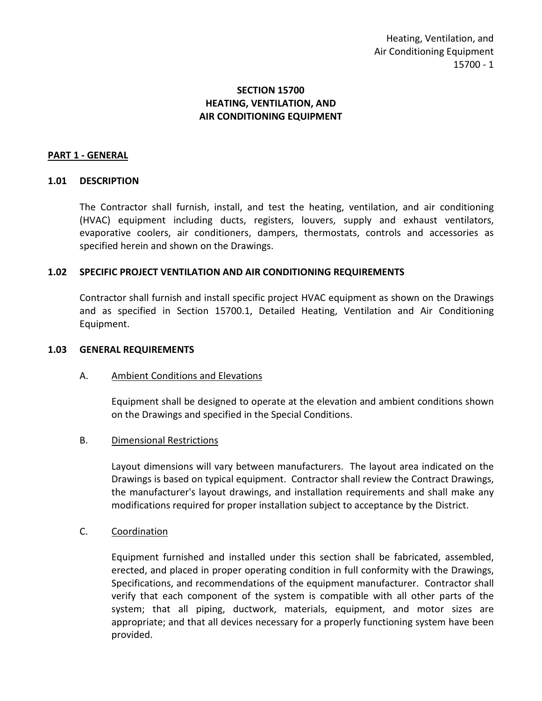# **SECTION 15700 HEATING, VENTILATION, AND AIR CONDITIONING EQUIPMENT**

### <span id="page-2-0"></span>**PART 1 - GENERAL**

### <span id="page-2-1"></span>**1.01 DESCRIPTION**

The Contractor shall furnish, install, and test the heating, ventilation, and air conditioning (HVAC) equipment including ducts, registers, louvers, supply and exhaust ventilators, evaporative coolers, air conditioners, dampers, thermostats, controls and accessories as specified herein and shown on the Drawings.

### <span id="page-2-2"></span>**1.02 SPECIFIC PROJECT VENTILATION AND AIR CONDITIONING REQUIREMENTS**

Contractor shall furnish and install specific project HVAC equipment as shown on the Drawings and as specified in Section 15700.1, Detailed Heating, Ventilation and Air Conditioning Equipment.

#### <span id="page-2-3"></span>**1.03 GENERAL REQUIREMENTS**

### A. Ambient Conditions and Elevations

Equipment shall be designed to operate at the elevation and ambient conditions shown on the Drawings and specified in the Special Conditions.

### B. Dimensional Restrictions

Layout dimensions will vary between manufacturers. The layout area indicated on the Drawings is based on typical equipment. Contractor shall review the Contract Drawings, the manufacturer's layout drawings, and installation requirements and shall make any modifications required for proper installation subject to acceptance by the District.

### C. Coordination

Equipment furnished and installed under this section shall be fabricated, assembled, erected, and placed in proper operating condition in full conformity with the Drawings, Specifications, and recommendations of the equipment manufacturer. Contractor shall verify that each component of the system is compatible with all other parts of the system; that all piping, ductwork, materials, equipment, and motor sizes are appropriate; and that all devices necessary for a properly functioning system have been provided.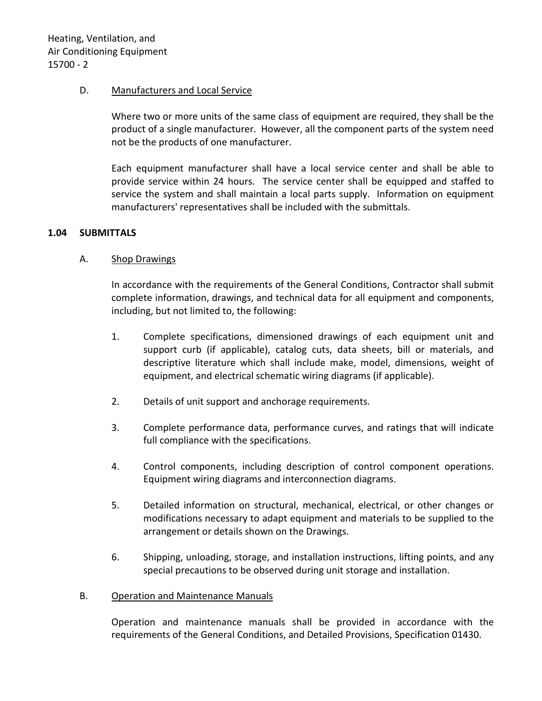### D. Manufacturers and Local Service

Where two or more units of the same class of equipment are required, they shall be the product of a single manufacturer. However, all the component parts of the system need not be the products of one manufacturer.

Each equipment manufacturer shall have a local service center and shall be able to provide service within 24 hours. The service center shall be equipped and staffed to service the system and shall maintain a local parts supply. Information on equipment manufacturers' representatives shall be included with the submittals.

### <span id="page-3-0"></span>**1.04 SUBMITTALS**

### A. Shop Drawings

In accordance with the requirements of the General Conditions, Contractor shall submit complete information, drawings, and technical data for all equipment and components, including, but not limited to, the following:

- 1. Complete specifications, dimensioned drawings of each equipment unit and support curb (if applicable), catalog cuts, data sheets, bill or materials, and descriptive literature which shall include make, model, dimensions, weight of equipment, and electrical schematic wiring diagrams (if applicable).
- 2. Details of unit support and anchorage requirements.
- 3. Complete performance data, performance curves, and ratings that will indicate full compliance with the specifications.
- 4. Control components, including description of control component operations. Equipment wiring diagrams and interconnection diagrams.
- 5. Detailed information on structural, mechanical, electrical, or other changes or modifications necessary to adapt equipment and materials to be supplied to the arrangement or details shown on the Drawings.
- 6. Shipping, unloading, storage, and installation instructions, lifting points, and any special precautions to be observed during unit storage and installation.

### B. Operation and Maintenance Manuals

Operation and maintenance manuals shall be provided in accordance with the requirements of the General Conditions, and Detailed Provisions, Specification 01430.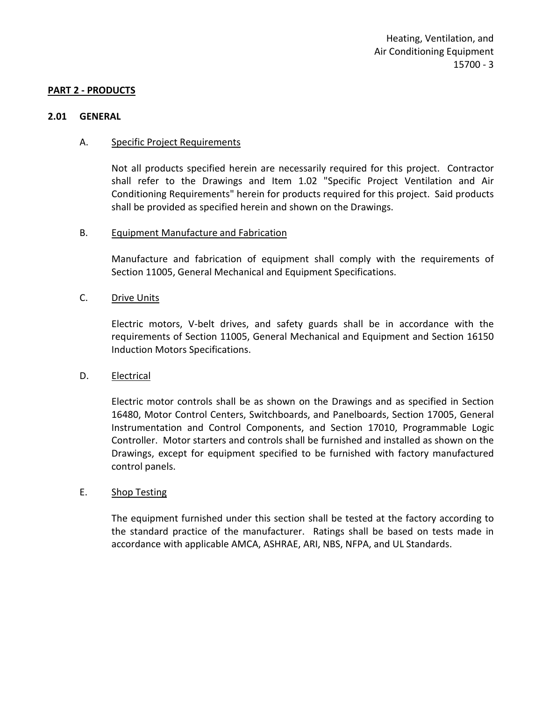#### <span id="page-4-0"></span>**PART 2 - PRODUCTS**

#### <span id="page-4-1"></span>**2.01 GENERAL**

#### A. Specific Project Requirements

Not all products specified herein are necessarily required for this project. Contractor shall refer to the Drawings and Item 1.02 "Specific Project Ventilation and Air Conditioning Requirements" herein for products required for this project. Said products shall be provided as specified herein and shown on the Drawings.

#### B. Equipment Manufacture and Fabrication

Manufacture and fabrication of equipment shall comply with the requirements of Section 11005, General Mechanical and Equipment Specifications.

#### C. Drive Units

Electric motors, V-belt drives, and safety guards shall be in accordance with the requirements of Section 11005, General Mechanical and Equipment and Section 16150 Induction Motors Specifications.

### D. Electrical

Electric motor controls shall be as shown on the Drawings and as specified in Section 16480, Motor Control Centers, Switchboards, and Panelboards, Section 17005, General Instrumentation and Control Components, and Section 17010, Programmable Logic Controller. Motor starters and controls shall be furnished and installed as shown on the Drawings, except for equipment specified to be furnished with factory manufactured control panels.

#### E. Shop Testing

The equipment furnished under this section shall be tested at the factory according to the standard practice of the manufacturer. Ratings shall be based on tests made in accordance with applicable AMCA, ASHRAE, ARI, NBS, NFPA, and UL Standards.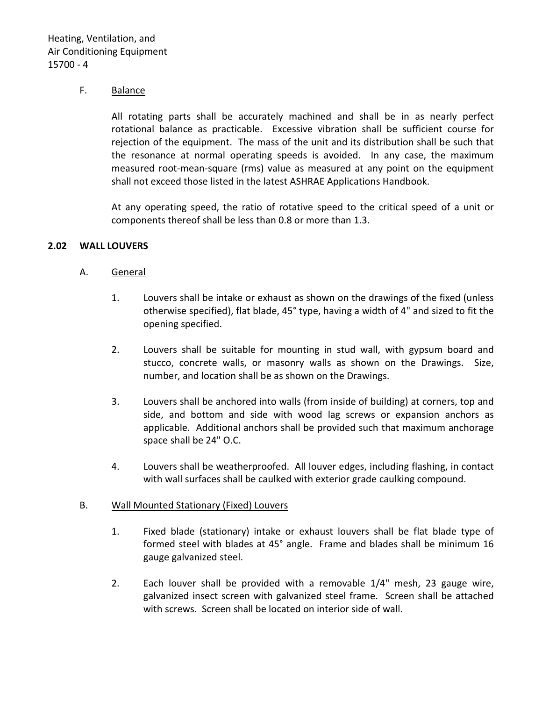### F. Balance

All rotating parts shall be accurately machined and shall be in as nearly perfect rotational balance as practicable. Excessive vibration shall be sufficient course for rejection of the equipment. The mass of the unit and its distribution shall be such that the resonance at normal operating speeds is avoided. In any case, the maximum measured root-mean-square (rms) value as measured at any point on the equipment shall not exceed those listed in the latest ASHRAE Applications Handbook.

At any operating speed, the ratio of rotative speed to the critical speed of a unit or components thereof shall be less than 0.8 or more than 1.3.

### <span id="page-5-0"></span>**2.02 WALL LOUVERS**

### A. General

- 1. Louvers shall be intake or exhaust as shown on the drawings of the fixed (unless otherwise specified), flat blade, 45° type, having a width of 4" and sized to fit the opening specified.
- 2. Louvers shall be suitable for mounting in stud wall, with gypsum board and stucco, concrete walls, or masonry walls as shown on the Drawings. Size, number, and location shall be as shown on the Drawings.
- 3. Louvers shall be anchored into walls (from inside of building) at corners, top and side, and bottom and side with wood lag screws or expansion anchors as applicable. Additional anchors shall be provided such that maximum anchorage space shall be 24" O.C.
- 4. Louvers shall be weatherproofed. All louver edges, including flashing, in contact with wall surfaces shall be caulked with exterior grade caulking compound.

### B. Wall Mounted Stationary (Fixed) Louvers

- 1. Fixed blade (stationary) intake or exhaust louvers shall be flat blade type of formed steel with blades at 45° angle. Frame and blades shall be minimum 16 gauge galvanized steel.
- 2. Each louver shall be provided with a removable 1/4" mesh, 23 gauge wire, galvanized insect screen with galvanized steel frame. Screen shall be attached with screws. Screen shall be located on interior side of wall.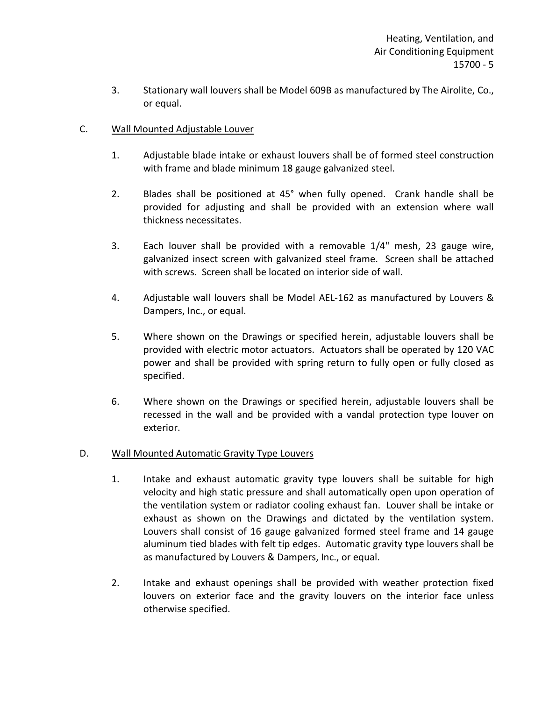3. Stationary wall louvers shall be Model 609B as manufactured by The Airolite, Co., or equal.

## C. Wall Mounted Adjustable Louver

- 1. Adjustable blade intake or exhaust louvers shall be of formed steel construction with frame and blade minimum 18 gauge galvanized steel.
- 2. Blades shall be positioned at 45° when fully opened. Crank handle shall be provided for adjusting and shall be provided with an extension where wall thickness necessitates.
- 3. Each louver shall be provided with a removable 1/4" mesh, 23 gauge wire, galvanized insect screen with galvanized steel frame. Screen shall be attached with screws. Screen shall be located on interior side of wall.
- 4. Adjustable wall louvers shall be Model AEL-162 as manufactured by Louvers & Dampers, Inc., or equal.
- 5. Where shown on the Drawings or specified herein, adjustable louvers shall be provided with electric motor actuators. Actuators shall be operated by 120 VAC power and shall be provided with spring return to fully open or fully closed as specified.
- 6. Where shown on the Drawings or specified herein, adjustable louvers shall be recessed in the wall and be provided with a vandal protection type louver on exterior.

### D. Wall Mounted Automatic Gravity Type Louvers

- 1. Intake and exhaust automatic gravity type louvers shall be suitable for high velocity and high static pressure and shall automatically open upon operation of the ventilation system or radiator cooling exhaust fan. Louver shall be intake or exhaust as shown on the Drawings and dictated by the ventilation system. Louvers shall consist of 16 gauge galvanized formed steel frame and 14 gauge aluminum tied blades with felt tip edges. Automatic gravity type louvers shall be as manufactured by Louvers & Dampers, Inc., or equal.
- 2. Intake and exhaust openings shall be provided with weather protection fixed louvers on exterior face and the gravity louvers on the interior face unless otherwise specified.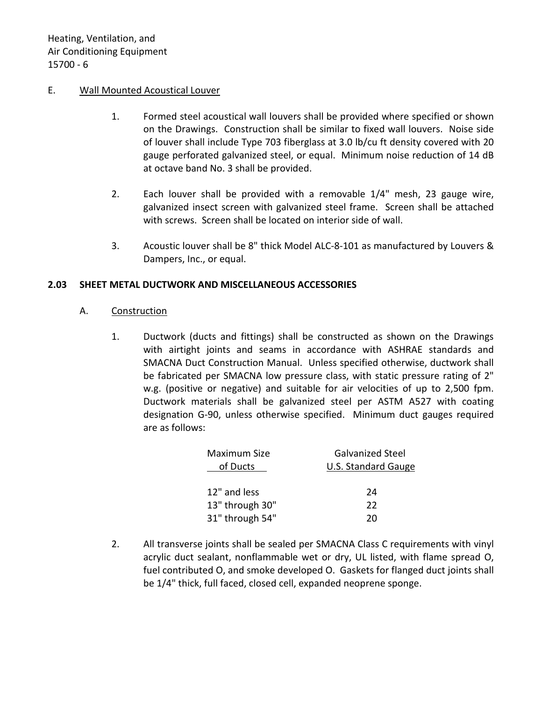#### E. Wall Mounted Acoustical Louver

- 1. Formed steel acoustical wall louvers shall be provided where specified or shown on the Drawings. Construction shall be similar to fixed wall louvers. Noise side of louver shall include Type 703 fiberglass at 3.0 lb/cu ft density covered with 20 gauge perforated galvanized steel, or equal. Minimum noise reduction of 14 dB at octave band No. 3 shall be provided.
- 2. Each louver shall be provided with a removable 1/4" mesh, 23 gauge wire, galvanized insect screen with galvanized steel frame. Screen shall be attached with screws. Screen shall be located on interior side of wall.
- 3. Acoustic louver shall be 8" thick Model ALC-8-101 as manufactured by Louvers & Dampers, Inc., or equal.

### <span id="page-7-0"></span>**2.03 SHEET METAL DUCTWORK AND MISCELLANEOUS ACCESSORIES**

#### A. Construction

1. Ductwork (ducts and fittings) shall be constructed as shown on the Drawings with airtight joints and seams in accordance with ASHRAE standards and SMACNA Duct Construction Manual. Unless specified otherwise, ductwork shall be fabricated per SMACNA low pressure class, with static pressure rating of 2" w.g. (positive or negative) and suitable for air velocities of up to 2,500 fpm. Ductwork materials shall be galvanized steel per ASTM A527 with coating designation G-90, unless otherwise specified. Minimum duct gauges required are as follows:

| <b>Galvanized Steel</b>    |  |
|----------------------------|--|
| <b>U.S. Standard Gauge</b> |  |
|                            |  |
| 24                         |  |
| 22                         |  |
| 20                         |  |
|                            |  |

2. All transverse joints shall be sealed per SMACNA Class C requirements with vinyl acrylic duct sealant, nonflammable wet or dry, UL listed, with flame spread O, fuel contributed O, and smoke developed O. Gaskets for flanged duct joints shall be 1/4" thick, full faced, closed cell, expanded neoprene sponge.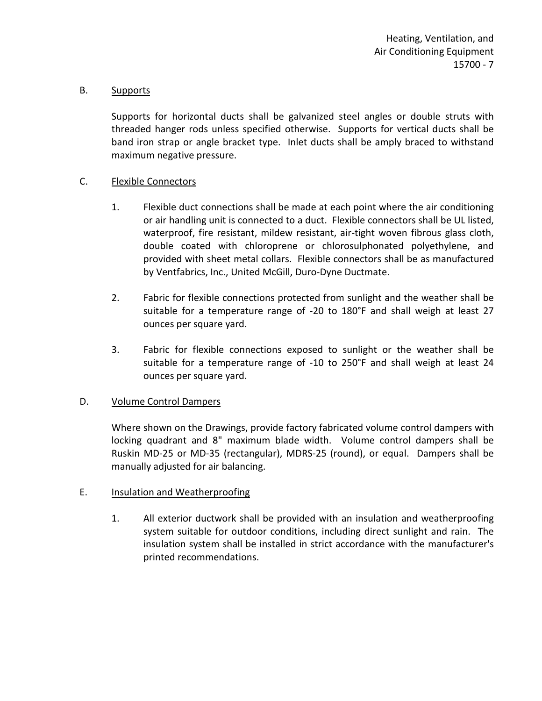### B. Supports

Supports for horizontal ducts shall be galvanized steel angles or double struts with threaded hanger rods unless specified otherwise. Supports for vertical ducts shall be band iron strap or angle bracket type. Inlet ducts shall be amply braced to withstand maximum negative pressure.

### C. Flexible Connectors

- 1. Flexible duct connections shall be made at each point where the air conditioning or air handling unit is connected to a duct. Flexible connectors shall be UL listed, waterproof, fire resistant, mildew resistant, air-tight woven fibrous glass cloth, double coated with chloroprene or chlorosulphonated polyethylene, and provided with sheet metal collars. Flexible connectors shall be as manufactured by Ventfabrics, Inc., United McGill, Duro-Dyne Ductmate.
- 2. Fabric for flexible connections protected from sunlight and the weather shall be suitable for a temperature range of -20 to 180°F and shall weigh at least 27 ounces per square yard.
- 3. Fabric for flexible connections exposed to sunlight or the weather shall be suitable for a temperature range of -10 to 250°F and shall weigh at least 24 ounces per square yard.

# D. Volume Control Dampers

Where shown on the Drawings, provide factory fabricated volume control dampers with locking quadrant and 8" maximum blade width. Volume control dampers shall be Ruskin MD-25 or MD-35 (rectangular), MDRS-25 (round), or equal. Dampers shall be manually adjusted for air balancing.

# E. Insulation and Weatherproofing

1. All exterior ductwork shall be provided with an insulation and weatherproofing system suitable for outdoor conditions, including direct sunlight and rain. The insulation system shall be installed in strict accordance with the manufacturer's printed recommendations.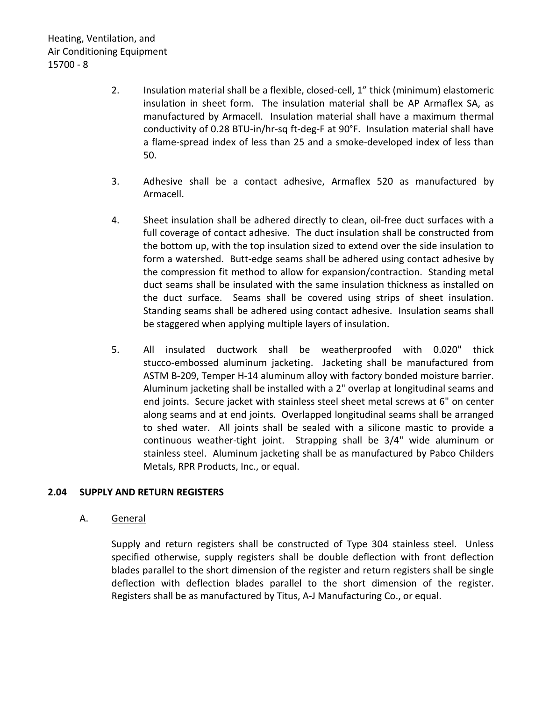- 2. Insulation material shall be a flexible, closed-cell, 1" thick (minimum) elastomeric insulation in sheet form. The insulation material shall be AP Armaflex SA, as manufactured by Armacell. Insulation material shall have a maximum thermal conductivity of 0.28 BTU-in/hr-sq ft-deg-F at 90°F. Insulation material shall have a flame-spread index of less than 25 and a smoke-developed index of less than 50.
- 3. Adhesive shall be a contact adhesive, Armaflex 520 as manufactured by Armacell.
- 4. Sheet insulation shall be adhered directly to clean, oil-free duct surfaces with a full coverage of contact adhesive. The duct insulation shall be constructed from the bottom up, with the top insulation sized to extend over the side insulation to form a watershed. Butt-edge seams shall be adhered using contact adhesive by the compression fit method to allow for expansion/contraction. Standing metal duct seams shall be insulated with the same insulation thickness as installed on the duct surface. Seams shall be covered using strips of sheet insulation. Standing seams shall be adhered using contact adhesive. Insulation seams shall be staggered when applying multiple layers of insulation.
- 5. All insulated ductwork shall be weatherproofed with 0.020" thick stucco-embossed aluminum jacketing. Jacketing shall be manufactured from ASTM B-209, Temper H-14 aluminum alloy with factory bonded moisture barrier. Aluminum jacketing shall be installed with a 2" overlap at longitudinal seams and end joints. Secure jacket with stainless steel sheet metal screws at 6" on center along seams and at end joints. Overlapped longitudinal seams shall be arranged to shed water. All joints shall be sealed with a silicone mastic to provide a continuous weather-tight joint. Strapping shall be 3/4" wide aluminum or stainless steel. Aluminum jacketing shall be as manufactured by Pabco Childers Metals, RPR Products, Inc., or equal.

### <span id="page-9-0"></span>**2.04 SUPPLY AND RETURN REGISTERS**

### A. General

Supply and return registers shall be constructed of Type 304 stainless steel. Unless specified otherwise, supply registers shall be double deflection with front deflection blades parallel to the short dimension of the register and return registers shall be single deflection with deflection blades parallel to the short dimension of the register. Registers shall be as manufactured by Titus, A-J Manufacturing Co., or equal.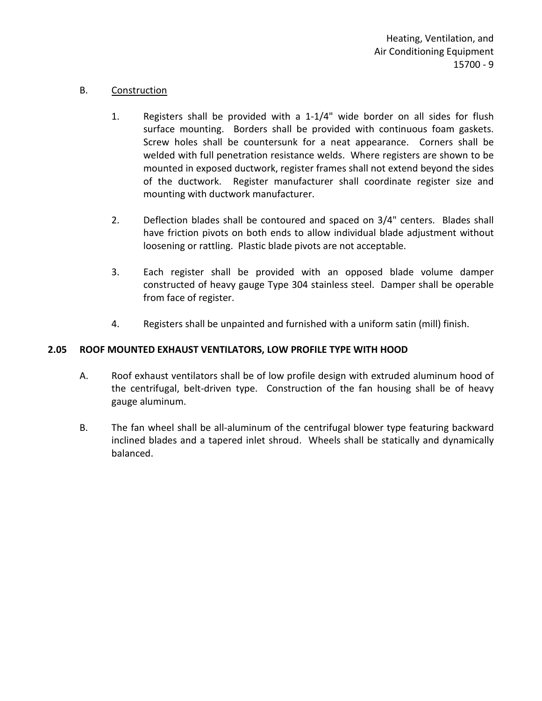### B. Construction

- 1. Registers shall be provided with a 1-1/4" wide border on all sides for flush surface mounting. Borders shall be provided with continuous foam gaskets. Screw holes shall be countersunk for a neat appearance. Corners shall be welded with full penetration resistance welds. Where registers are shown to be mounted in exposed ductwork, register frames shall not extend beyond the sides of the ductwork. Register manufacturer shall coordinate register size and mounting with ductwork manufacturer.
- 2. Deflection blades shall be contoured and spaced on 3/4" centers. Blades shall have friction pivots on both ends to allow individual blade adjustment without loosening or rattling. Plastic blade pivots are not acceptable.
- 3. Each register shall be provided with an opposed blade volume damper constructed of heavy gauge Type 304 stainless steel. Damper shall be operable from face of register.
- 4. Registers shall be unpainted and furnished with a uniform satin (mill) finish.

# <span id="page-10-0"></span>**2.05 ROOF MOUNTED EXHAUST VENTILATORS, LOW PROFILE TYPE WITH HOOD**

- A. Roof exhaust ventilators shall be of low profile design with extruded aluminum hood of the centrifugal, belt-driven type. Construction of the fan housing shall be of heavy gauge aluminum.
- B. The fan wheel shall be all-aluminum of the centrifugal blower type featuring backward inclined blades and a tapered inlet shroud. Wheels shall be statically and dynamically balanced.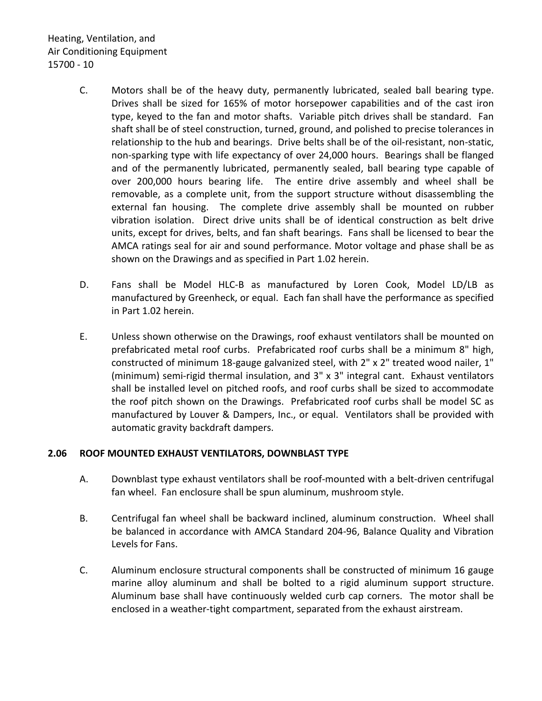Heating, Ventilation, and Air Conditioning Equipment 15700 - 10

- C. Motors shall be of the heavy duty, permanently lubricated, sealed ball bearing type. Drives shall be sized for 165% of motor horsepower capabilities and of the cast iron type, keyed to the fan and motor shafts. Variable pitch drives shall be standard. Fan shaft shall be of steel construction, turned, ground, and polished to precise tolerances in relationship to the hub and bearings. Drive belts shall be of the oil-resistant, non-static, non-sparking type with life expectancy of over 24,000 hours. Bearings shall be flanged and of the permanently lubricated, permanently sealed, ball bearing type capable of over 200,000 hours bearing life. The entire drive assembly and wheel shall be removable, as a complete unit, from the support structure without disassembling the external fan housing. The complete drive assembly shall be mounted on rubber vibration isolation. Direct drive units shall be of identical construction as belt drive units, except for drives, belts, and fan shaft bearings. Fans shall be licensed to bear the AMCA ratings seal for air and sound performance. Motor voltage and phase shall be as shown on the Drawings and as specified in Part 1.02 herein.
- D. Fans shall be Model HLC-B as manufactured by Loren Cook, Model LD/LB as manufactured by Greenheck, or equal. Each fan shall have the performance as specified in Part 1.02 herein.
- E. Unless shown otherwise on the Drawings, roof exhaust ventilators shall be mounted on prefabricated metal roof curbs. Prefabricated roof curbs shall be a minimum 8" high, constructed of minimum 18-gauge galvanized steel, with 2" x 2" treated wood nailer, 1" (minimum) semi-rigid thermal insulation, and 3" x 3" integral cant. Exhaust ventilators shall be installed level on pitched roofs, and roof curbs shall be sized to accommodate the roof pitch shown on the Drawings. Prefabricated roof curbs shall be model SC as manufactured by Louver & Dampers, Inc., or equal. Ventilators shall be provided with automatic gravity backdraft dampers.

# <span id="page-11-0"></span>**2.06 ROOF MOUNTED EXHAUST VENTILATORS, DOWNBLAST TYPE**

- A. Downblast type exhaust ventilators shall be roof-mounted with a belt-driven centrifugal fan wheel. Fan enclosure shall be spun aluminum, mushroom style.
- B. Centrifugal fan wheel shall be backward inclined, aluminum construction. Wheel shall be balanced in accordance with AMCA Standard 204-96, Balance Quality and Vibration Levels for Fans.
- C. Aluminum enclosure structural components shall be constructed of minimum 16 gauge marine alloy aluminum and shall be bolted to a rigid aluminum support structure. Aluminum base shall have continuously welded curb cap corners. The motor shall be enclosed in a weather-tight compartment, separated from the exhaust airstream.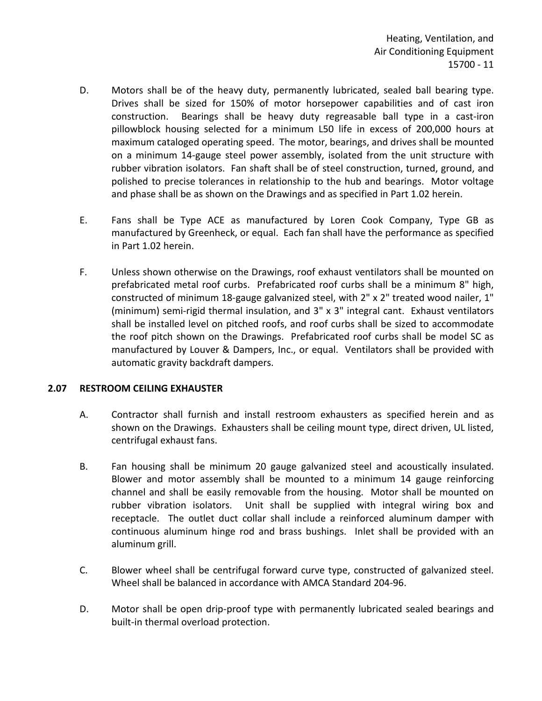- D. Motors shall be of the heavy duty, permanently lubricated, sealed ball bearing type. Drives shall be sized for 150% of motor horsepower capabilities and of cast iron construction. Bearings shall be heavy duty regreasable ball type in a cast-iron pillowblock housing selected for a minimum L50 life in excess of 200,000 hours at maximum cataloged operating speed. The motor, bearings, and drives shall be mounted on a minimum 14-gauge steel power assembly, isolated from the unit structure with rubber vibration isolators. Fan shaft shall be of steel construction, turned, ground, and polished to precise tolerances in relationship to the hub and bearings. Motor voltage and phase shall be as shown on the Drawings and as specified in Part 1.02 herein.
- E. Fans shall be Type ACE as manufactured by Loren Cook Company, Type GB as manufactured by Greenheck, or equal. Each fan shall have the performance as specified in Part 1.02 herein.
- F. Unless shown otherwise on the Drawings, roof exhaust ventilators shall be mounted on prefabricated metal roof curbs. Prefabricated roof curbs shall be a minimum 8" high, constructed of minimum 18-gauge galvanized steel, with 2" x 2" treated wood nailer, 1" (minimum) semi-rigid thermal insulation, and 3" x 3" integral cant. Exhaust ventilators shall be installed level on pitched roofs, and roof curbs shall be sized to accommodate the roof pitch shown on the Drawings. Prefabricated roof curbs shall be model SC as manufactured by Louver & Dampers, Inc., or equal. Ventilators shall be provided with automatic gravity backdraft dampers.

### <span id="page-12-0"></span>**2.07 RESTROOM CEILING EXHAUSTER**

- A. Contractor shall furnish and install restroom exhausters as specified herein and as shown on the Drawings. Exhausters shall be ceiling mount type, direct driven, UL listed, centrifugal exhaust fans.
- B. Fan housing shall be minimum 20 gauge galvanized steel and acoustically insulated. Blower and motor assembly shall be mounted to a minimum 14 gauge reinforcing channel and shall be easily removable from the housing. Motor shall be mounted on rubber vibration isolators. Unit shall be supplied with integral wiring box and receptacle. The outlet duct collar shall include a reinforced aluminum damper with continuous aluminum hinge rod and brass bushings. Inlet shall be provided with an aluminum grill.
- C. Blower wheel shall be centrifugal forward curve type, constructed of galvanized steel. Wheel shall be balanced in accordance with AMCA Standard 204-96.
- D. Motor shall be open drip-proof type with permanently lubricated sealed bearings and built-in thermal overload protection.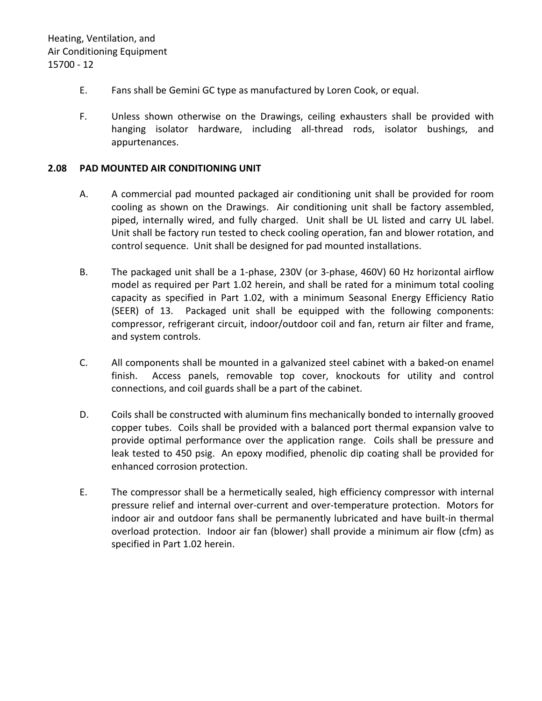- E. Fans shall be Gemini GC type as manufactured by Loren Cook, or equal.
- F. Unless shown otherwise on the Drawings, ceiling exhausters shall be provided with hanging isolator hardware, including all-thread rods, isolator bushings, and appurtenances.

### <span id="page-13-0"></span>**2.08 PAD MOUNTED AIR CONDITIONING UNIT**

- A. A commercial pad mounted packaged air conditioning unit shall be provided for room cooling as shown on the Drawings. Air conditioning unit shall be factory assembled, piped, internally wired, and fully charged. Unit shall be UL listed and carry UL label. Unit shall be factory run tested to check cooling operation, fan and blower rotation, and control sequence. Unit shall be designed for pad mounted installations.
- B. The packaged unit shall be a 1-phase, 230V (or 3-phase, 460V) 60 Hz horizontal airflow model as required per Part 1.02 herein, and shall be rated for a minimum total cooling capacity as specified in Part 1.02, with a minimum Seasonal Energy Efficiency Ratio (SEER) of 13. Packaged unit shall be equipped with the following components: compressor, refrigerant circuit, indoor/outdoor coil and fan, return air filter and frame, and system controls.
- C. All components shall be mounted in a galvanized steel cabinet with a baked-on enamel finish. Access panels, removable top cover, knockouts for utility and control connections, and coil guards shall be a part of the cabinet.
- D. Coils shall be constructed with aluminum fins mechanically bonded to internally grooved copper tubes. Coils shall be provided with a balanced port thermal expansion valve to provide optimal performance over the application range. Coils shall be pressure and leak tested to 450 psig. An epoxy modified, phenolic dip coating shall be provided for enhanced corrosion protection.
- E. The compressor shall be a hermetically sealed, high efficiency compressor with internal pressure relief and internal over-current and over-temperature protection. Motors for indoor air and outdoor fans shall be permanently lubricated and have built-in thermal overload protection. Indoor air fan (blower) shall provide a minimum air flow (cfm) as specified in Part 1.02 herein.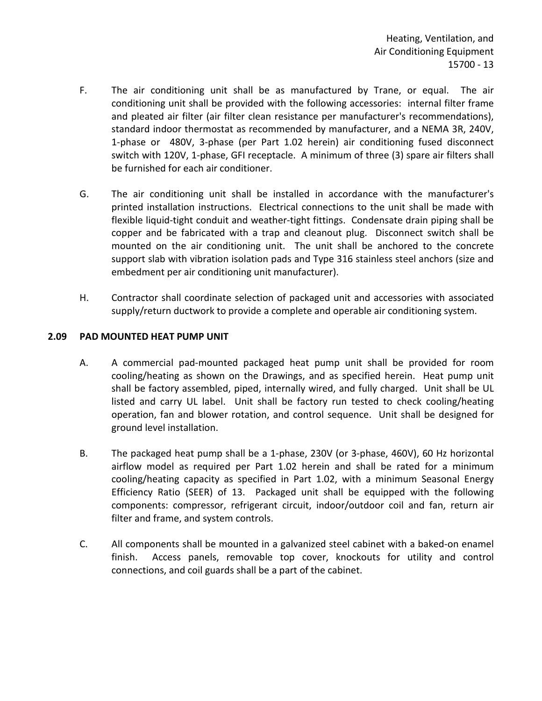Heating, Ventilation, and Air Conditioning Equipment 15700 - 13

- F. The air conditioning unit shall be as manufactured by Trane, or equal. The air conditioning unit shall be provided with the following accessories: internal filter frame and pleated air filter (air filter clean resistance per manufacturer's recommendations), standard indoor thermostat as recommended by manufacturer, and a NEMA 3R, 240V, 1-phase or 480V, 3-phase (per Part 1.02 herein) air conditioning fused disconnect switch with 120V, 1-phase, GFI receptacle. A minimum of three (3) spare air filters shall be furnished for each air conditioner.
- G. The air conditioning unit shall be installed in accordance with the manufacturer's printed installation instructions. Electrical connections to the unit shall be made with flexible liquid-tight conduit and weather-tight fittings. Condensate drain piping shall be copper and be fabricated with a trap and cleanout plug. Disconnect switch shall be mounted on the air conditioning unit. The unit shall be anchored to the concrete support slab with vibration isolation pads and Type 316 stainless steel anchors (size and embedment per air conditioning unit manufacturer).
- H. Contractor shall coordinate selection of packaged unit and accessories with associated supply/return ductwork to provide a complete and operable air conditioning system.

### <span id="page-14-0"></span>**2.09 PAD MOUNTED HEAT PUMP UNIT**

- A. A commercial pad-mounted packaged heat pump unit shall be provided for room cooling/heating as shown on the Drawings, and as specified herein. Heat pump unit shall be factory assembled, piped, internally wired, and fully charged. Unit shall be UL listed and carry UL label. Unit shall be factory run tested to check cooling/heating operation, fan and blower rotation, and control sequence. Unit shall be designed for ground level installation.
- B. The packaged heat pump shall be a 1-phase, 230V (or 3-phase, 460V), 60 Hz horizontal airflow model as required per Part 1.02 herein and shall be rated for a minimum cooling/heating capacity as specified in Part 1.02, with a minimum Seasonal Energy Efficiency Ratio (SEER) of 13. Packaged unit shall be equipped with the following components: compressor, refrigerant circuit, indoor/outdoor coil and fan, return air filter and frame, and system controls.
- C. All components shall be mounted in a galvanized steel cabinet with a baked-on enamel finish. Access panels, removable top cover, knockouts for utility and control connections, and coil guards shall be a part of the cabinet.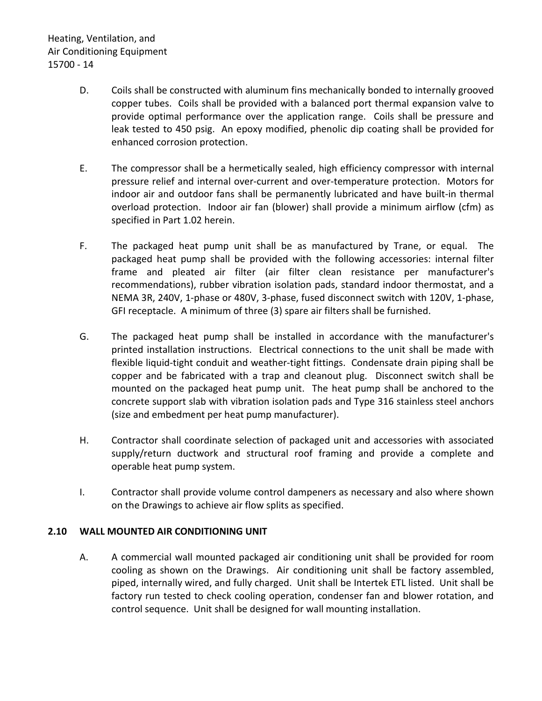- D. Coils shall be constructed with aluminum fins mechanically bonded to internally grooved copper tubes. Coils shall be provided with a balanced port thermal expansion valve to provide optimal performance over the application range. Coils shall be pressure and leak tested to 450 psig. An epoxy modified, phenolic dip coating shall be provided for enhanced corrosion protection.
- E. The compressor shall be a hermetically sealed, high efficiency compressor with internal pressure relief and internal over-current and over-temperature protection. Motors for indoor air and outdoor fans shall be permanently lubricated and have built-in thermal overload protection. Indoor air fan (blower) shall provide a minimum airflow (cfm) as specified in Part 1.02 herein.
- F. The packaged heat pump unit shall be as manufactured by Trane, or equal. The packaged heat pump shall be provided with the following accessories: internal filter frame and pleated air filter (air filter clean resistance per manufacturer's recommendations), rubber vibration isolation pads, standard indoor thermostat, and a NEMA 3R, 240V, 1-phase or 480V, 3-phase, fused disconnect switch with 120V, 1-phase, GFI receptacle. A minimum of three (3) spare air filters shall be furnished.
- G. The packaged heat pump shall be installed in accordance with the manufacturer's printed installation instructions. Electrical connections to the unit shall be made with flexible liquid-tight conduit and weather-tight fittings. Condensate drain piping shall be copper and be fabricated with a trap and cleanout plug. Disconnect switch shall be mounted on the packaged heat pump unit. The heat pump shall be anchored to the concrete support slab with vibration isolation pads and Type 316 stainless steel anchors (size and embedment per heat pump manufacturer).
- H. Contractor shall coordinate selection of packaged unit and accessories with associated supply/return ductwork and structural roof framing and provide a complete and operable heat pump system.
- I. Contractor shall provide volume control dampeners as necessary and also where shown on the Drawings to achieve air flow splits as specified.

# <span id="page-15-0"></span>**2.10 WALL MOUNTED AIR CONDITIONING UNIT**

A. A commercial wall mounted packaged air conditioning unit shall be provided for room cooling as shown on the Drawings. Air conditioning unit shall be factory assembled, piped, internally wired, and fully charged. Unit shall be Intertek ETL listed. Unit shall be factory run tested to check cooling operation, condenser fan and blower rotation, and control sequence. Unit shall be designed for wall mounting installation.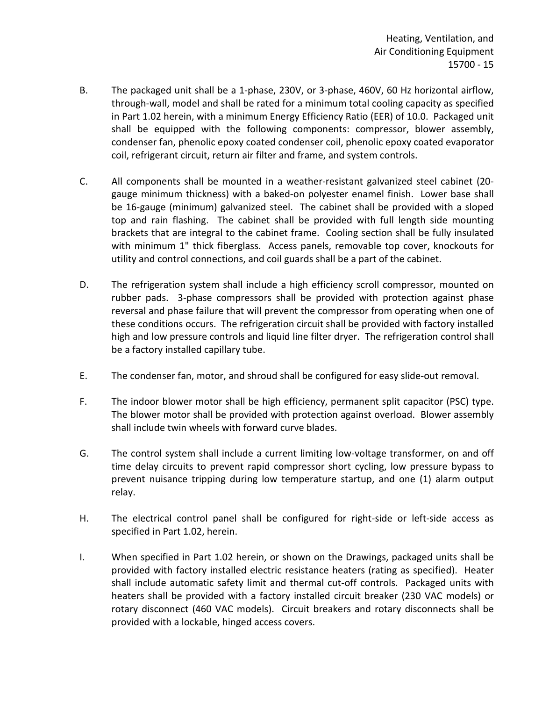- B. The packaged unit shall be a 1-phase, 230V, or 3-phase, 460V, 60 Hz horizontal airflow, through-wall, model and shall be rated for a minimum total cooling capacity as specified in Part 1.02 herein, with a minimum Energy Efficiency Ratio (EER) of 10.0. Packaged unit shall be equipped with the following components: compressor, blower assembly, condenser fan, phenolic epoxy coated condenser coil, phenolic epoxy coated evaporator coil, refrigerant circuit, return air filter and frame, and system controls.
- C. All components shall be mounted in a weather-resistant galvanized steel cabinet (20 gauge minimum thickness) with a baked-on polyester enamel finish. Lower base shall be 16-gauge (minimum) galvanized steel. The cabinet shall be provided with a sloped top and rain flashing. The cabinet shall be provided with full length side mounting brackets that are integral to the cabinet frame. Cooling section shall be fully insulated with minimum 1" thick fiberglass. Access panels, removable top cover, knockouts for utility and control connections, and coil guards shall be a part of the cabinet.
- D. The refrigeration system shall include a high efficiency scroll compressor, mounted on rubber pads. 3-phase compressors shall be provided with protection against phase reversal and phase failure that will prevent the compressor from operating when one of these conditions occurs. The refrigeration circuit shall be provided with factory installed high and low pressure controls and liquid line filter dryer. The refrigeration control shall be a factory installed capillary tube.
- E. The condenser fan, motor, and shroud shall be configured for easy slide-out removal.
- F. The indoor blower motor shall be high efficiency, permanent split capacitor (PSC) type. The blower motor shall be provided with protection against overload. Blower assembly shall include twin wheels with forward curve blades.
- G. The control system shall include a current limiting low-voltage transformer, on and off time delay circuits to prevent rapid compressor short cycling, low pressure bypass to prevent nuisance tripping during low temperature startup, and one (1) alarm output relay.
- H. The electrical control panel shall be configured for right-side or left-side access as specified in Part 1.02, herein.
- I. When specified in Part 1.02 herein, or shown on the Drawings, packaged units shall be provided with factory installed electric resistance heaters (rating as specified). Heater shall include automatic safety limit and thermal cut-off controls. Packaged units with heaters shall be provided with a factory installed circuit breaker (230 VAC models) or rotary disconnect (460 VAC models). Circuit breakers and rotary disconnects shall be provided with a lockable, hinged access covers.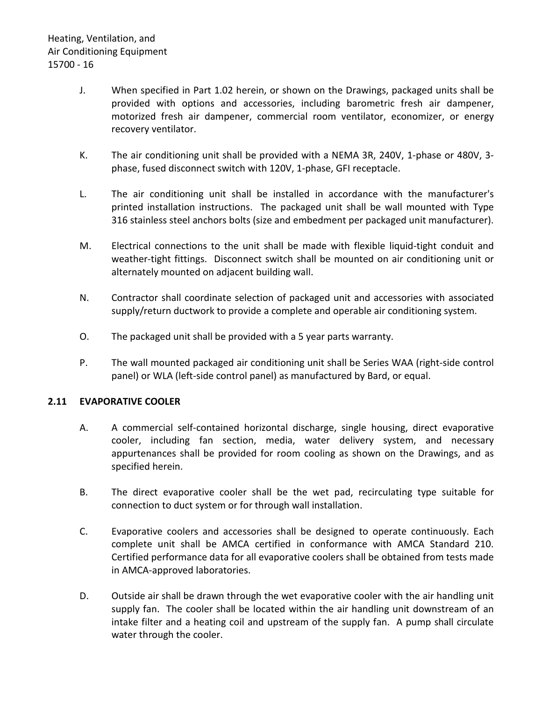- J. When specified in Part 1.02 herein, or shown on the Drawings, packaged units shall be provided with options and accessories, including barometric fresh air dampener, motorized fresh air dampener, commercial room ventilator, economizer, or energy recovery ventilator.
- K. The air conditioning unit shall be provided with a NEMA 3R, 240V, 1-phase or 480V, 3 phase, fused disconnect switch with 120V, 1-phase, GFI receptacle.
- L. The air conditioning unit shall be installed in accordance with the manufacturer's printed installation instructions. The packaged unit shall be wall mounted with Type 316 stainless steel anchors bolts (size and embedment per packaged unit manufacturer).
- M. Electrical connections to the unit shall be made with flexible liquid-tight conduit and weather-tight fittings. Disconnect switch shall be mounted on air conditioning unit or alternately mounted on adjacent building wall.
- N. Contractor shall coordinate selection of packaged unit and accessories with associated supply/return ductwork to provide a complete and operable air conditioning system.
- O. The packaged unit shall be provided with a 5 year parts warranty.
- P. The wall mounted packaged air conditioning unit shall be Series WAA (right-side control panel) or WLA (left-side control panel) as manufactured by Bard, or equal.

# <span id="page-17-0"></span>**2.11 EVAPORATIVE COOLER**

- A. A commercial self-contained horizontal discharge, single housing, direct evaporative cooler, including fan section, media, water delivery system, and necessary appurtenances shall be provided for room cooling as shown on the Drawings, and as specified herein.
- B. The direct evaporative cooler shall be the wet pad, recirculating type suitable for connection to duct system or for through wall installation.
- C. Evaporative coolers and accessories shall be designed to operate continuously. Each complete unit shall be AMCA certified in conformance with AMCA Standard 210. Certified performance data for all evaporative coolers shall be obtained from tests made in AMCA-approved laboratories.
- D. Outside air shall be drawn through the wet evaporative cooler with the air handling unit supply fan. The cooler shall be located within the air handling unit downstream of an intake filter and a heating coil and upstream of the supply fan. A pump shall circulate water through the cooler.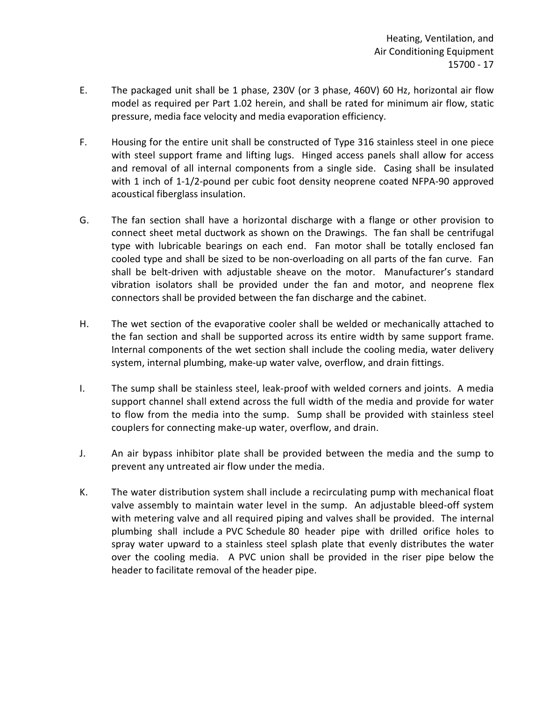- E. The packaged unit shall be 1 phase, 230V (or 3 phase, 460V) 60 Hz, horizontal air flow model as required per Part 1.02 herein, and shall be rated for minimum air flow, static pressure, media face velocity and media evaporation efficiency.
- F. Housing for the entire unit shall be constructed of Type 316 stainless steel in one piece with steel support frame and lifting lugs. Hinged access panels shall allow for access and removal of all internal components from a single side. Casing shall be insulated with 1 inch of 1-1/2-pound per cubic foot density neoprene coated NFPA-90 approved acoustical fiberglass insulation.
- G. The fan section shall have a horizontal discharge with a flange or other provision to connect sheet metal ductwork as shown on the Drawings. The fan shall be centrifugal type with lubricable bearings on each end. Fan motor shall be totally enclosed fan cooled type and shall be sized to be non-overloading on all parts of the fan curve. Fan shall be belt-driven with adjustable sheave on the motor. Manufacturer's standard vibration isolators shall be provided under the fan and motor, and neoprene flex connectors shall be provided between the fan discharge and the cabinet.
- H. The wet section of the evaporative cooler shall be welded or mechanically attached to the fan section and shall be supported across its entire width by same support frame. Internal components of the wet section shall include the cooling media, water delivery system, internal plumbing, make-up water valve, overflow, and drain fittings.
- I. The sump shall be stainless steel, leak-proof with welded corners and joints. A media support channel shall extend across the full width of the media and provide for water to flow from the media into the sump. Sump shall be provided with stainless steel couplers for connecting make-up water, overflow, and drain.
- J. An air bypass inhibitor plate shall be provided between the media and the sump to prevent any untreated air flow under the media.
- K. The water distribution system shall include a recirculating pump with mechanical float valve assembly to maintain water level in the sump. An adjustable bleed-off system with metering valve and all required piping and valves shall be provided. The internal plumbing shall include a PVC Schedule 80 header pipe with drilled orifice holes to spray water upward to a stainless steel splash plate that evenly distributes the water over the cooling media. A PVC union shall be provided in the riser pipe below the header to facilitate removal of the header pipe.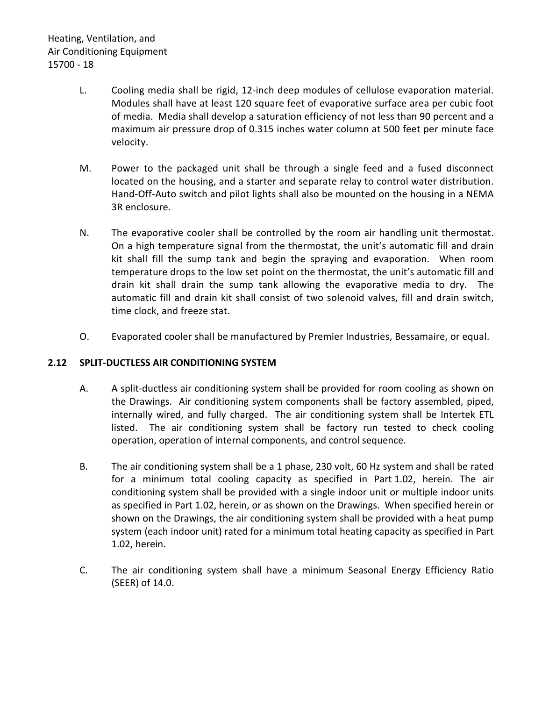- L. Cooling media shall be rigid, 12-inch deep modules of cellulose evaporation material. Modules shall have at least 120 square feet of evaporative surface area per cubic foot of media. Media shall develop a saturation efficiency of not less than 90 percent and a maximum air pressure drop of 0.315 inches water column at 500 feet per minute face velocity.
- M. Power to the packaged unit shall be through a single feed and a fused disconnect located on the housing, and a starter and separate relay to control water distribution. Hand-Off-Auto switch and pilot lights shall also be mounted on the housing in a NEMA 3R enclosure.
- N. The evaporative cooler shall be controlled by the room air handling unit thermostat. On a high temperature signal from the thermostat, the unit's automatic fill and drain kit shall fill the sump tank and begin the spraying and evaporation. When room temperature drops to the low set point on the thermostat, the unit's automatic fill and drain kit shall drain the sump tank allowing the evaporative media to dry. The automatic fill and drain kit shall consist of two solenoid valves, fill and drain switch, time clock, and freeze stat.
- O. Evaporated cooler shall be manufactured by Premier Industries, Bessamaire, or equal.

# <span id="page-19-0"></span>**2.12 SPLIT-DUCTLESS AIR CONDITIONING SYSTEM**

- A. A split-ductless air conditioning system shall be provided for room cooling as shown on the Drawings. Air conditioning system components shall be factory assembled, piped, internally wired, and fully charged. The air conditioning system shall be Intertek ETL listed. The air conditioning system shall be factory run tested to check cooling operation, operation of internal components, and control sequence.
- B. The air conditioning system shall be a 1 phase, 230 volt, 60 Hz system and shall be rated for a minimum total cooling capacity as specified in Part 1.02, herein. The air conditioning system shall be provided with a single indoor unit or multiple indoor units as specified in Part 1.02, herein, or as shown on the Drawings. When specified herein or shown on the Drawings, the air conditioning system shall be provided with a heat pump system (each indoor unit) rated for a minimum total heating capacity as specified in Part 1.02, herein.
- C. The air conditioning system shall have a minimum Seasonal Energy Efficiency Ratio (SEER) of 14.0.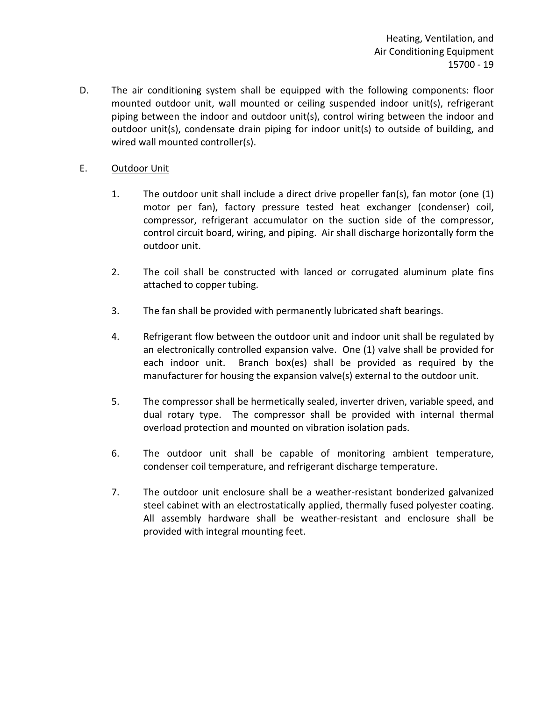D. The air conditioning system shall be equipped with the following components: floor mounted outdoor unit, wall mounted or ceiling suspended indoor unit(s), refrigerant piping between the indoor and outdoor unit(s), control wiring between the indoor and outdoor unit(s), condensate drain piping for indoor unit(s) to outside of building, and wired wall mounted controller(s).

## E. Outdoor Unit

- 1. The outdoor unit shall include a direct drive propeller fan(s), fan motor (one (1) motor per fan), factory pressure tested heat exchanger (condenser) coil, compressor, refrigerant accumulator on the suction side of the compressor, control circuit board, wiring, and piping. Air shall discharge horizontally form the outdoor unit.
- 2. The coil shall be constructed with lanced or corrugated aluminum plate fins attached to copper tubing.
- 3. The fan shall be provided with permanently lubricated shaft bearings.
- 4. Refrigerant flow between the outdoor unit and indoor unit shall be regulated by an electronically controlled expansion valve. One (1) valve shall be provided for each indoor unit. Branch box(es) shall be provided as required by the manufacturer for housing the expansion valve(s) external to the outdoor unit.
- 5. The compressor shall be hermetically sealed, inverter driven, variable speed, and dual rotary type. The compressor shall be provided with internal thermal overload protection and mounted on vibration isolation pads.
- 6. The outdoor unit shall be capable of monitoring ambient temperature, condenser coil temperature, and refrigerant discharge temperature.
- 7. The outdoor unit enclosure shall be a weather-resistant bonderized galvanized steel cabinet with an electrostatically applied, thermally fused polyester coating. All assembly hardware shall be weather-resistant and enclosure shall be provided with integral mounting feet.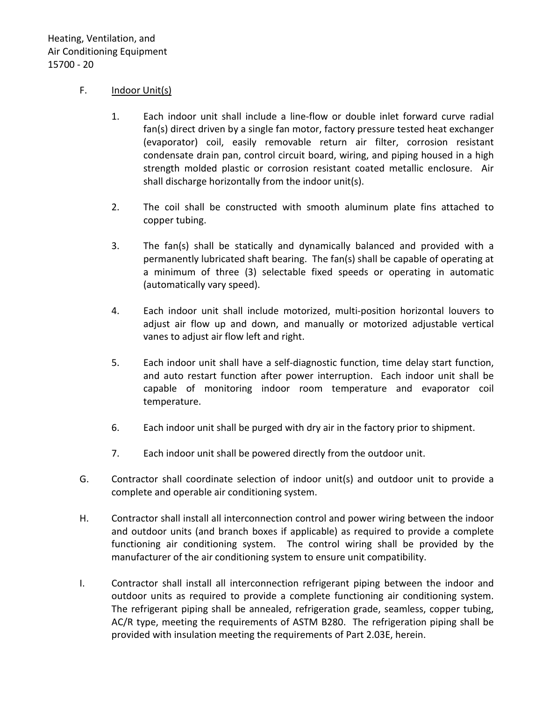# F. Indoor Unit(s)

- 1. Each indoor unit shall include a line-flow or double inlet forward curve radial fan(s) direct driven by a single fan motor, factory pressure tested heat exchanger (evaporator) coil, easily removable return air filter, corrosion resistant condensate drain pan, control circuit board, wiring, and piping housed in a high strength molded plastic or corrosion resistant coated metallic enclosure. Air shall discharge horizontally from the indoor unit(s).
- 2. The coil shall be constructed with smooth aluminum plate fins attached to copper tubing.
- 3. The fan(s) shall be statically and dynamically balanced and provided with a permanently lubricated shaft bearing. The fan(s) shall be capable of operating at a minimum of three (3) selectable fixed speeds or operating in automatic (automatically vary speed).
- 4. Each indoor unit shall include motorized, multi-position horizontal louvers to adjust air flow up and down, and manually or motorized adjustable vertical vanes to adjust air flow left and right.
- 5. Each indoor unit shall have a self-diagnostic function, time delay start function, and auto restart function after power interruption. Each indoor unit shall be capable of monitoring indoor room temperature and evaporator coil temperature.
- 6. Each indoor unit shall be purged with dry air in the factory prior to shipment.
- 7. Each indoor unit shall be powered directly from the outdoor unit.
- G. Contractor shall coordinate selection of indoor unit(s) and outdoor unit to provide a complete and operable air conditioning system.
- H. Contractor shall install all interconnection control and power wiring between the indoor and outdoor units (and branch boxes if applicable) as required to provide a complete functioning air conditioning system. The control wiring shall be provided by the manufacturer of the air conditioning system to ensure unit compatibility.
- I. Contractor shall install all interconnection refrigerant piping between the indoor and outdoor units as required to provide a complete functioning air conditioning system. The refrigerant piping shall be annealed, refrigeration grade, seamless, copper tubing, AC/R type, meeting the requirements of ASTM B280. The refrigeration piping shall be provided with insulation meeting the requirements of Part 2.03E, herein.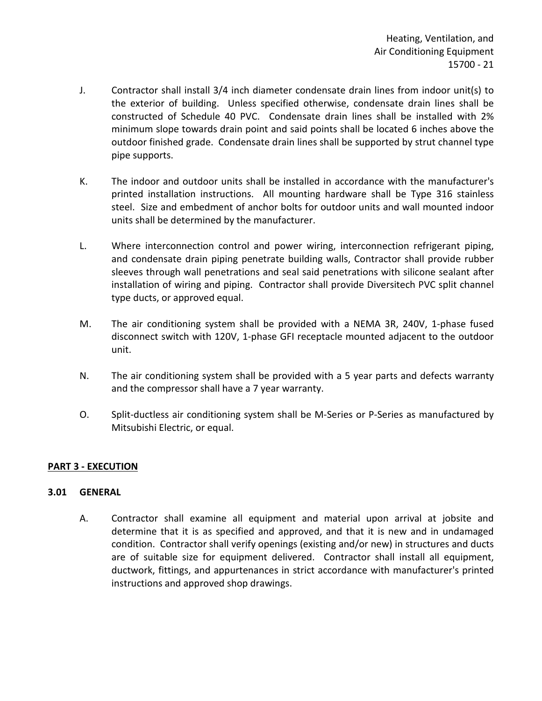- J. Contractor shall install 3/4 inch diameter condensate drain lines from indoor unit(s) to the exterior of building. Unless specified otherwise, condensate drain lines shall be constructed of Schedule 40 PVC. Condensate drain lines shall be installed with 2% minimum slope towards drain point and said points shall be located 6 inches above the outdoor finished grade. Condensate drain lines shall be supported by strut channel type pipe supports.
- K. The indoor and outdoor units shall be installed in accordance with the manufacturer's printed installation instructions. All mounting hardware shall be Type 316 stainless steel. Size and embedment of anchor bolts for outdoor units and wall mounted indoor units shall be determined by the manufacturer.
- L. Where interconnection control and power wiring, interconnection refrigerant piping, and condensate drain piping penetrate building walls, Contractor shall provide rubber sleeves through wall penetrations and seal said penetrations with silicone sealant after installation of wiring and piping. Contractor shall provide Diversitech PVC split channel type ducts, or approved equal.
- M. The air conditioning system shall be provided with a NEMA 3R, 240V, 1-phase fused disconnect switch with 120V, 1-phase GFI receptacle mounted adjacent to the outdoor unit.
- N. The air conditioning system shall be provided with a 5 year parts and defects warranty and the compressor shall have a 7 year warranty.
- O. Split-ductless air conditioning system shall be M-Series or P-Series as manufactured by Mitsubishi Electric, or equal.

# <span id="page-22-0"></span>**PART 3 - EXECUTION**

### <span id="page-22-1"></span>**3.01 GENERAL**

A. Contractor shall examine all equipment and material upon arrival at jobsite and determine that it is as specified and approved, and that it is new and in undamaged condition. Contractor shall verify openings (existing and/or new) in structures and ducts are of suitable size for equipment delivered. Contractor shall install all equipment, ductwork, fittings, and appurtenances in strict accordance with manufacturer's printed instructions and approved shop drawings.